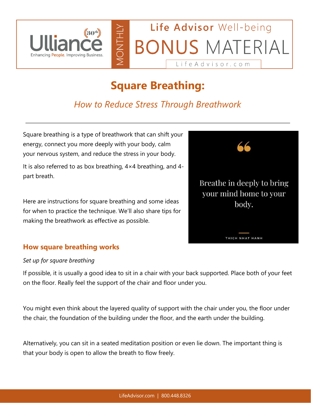

# **Square Breathing:**

# *How to Reduce Stress Through Breathwork*

Square breathing is a type of breathwork that can shift your energy, connect you more deeply with your body, calm your nervous system, and reduce the stress in your body.

It is also referred to as box breathing, 4×4 breathing, and 4 part breath.

Here are instructions for square breathing and some ideas for when to practice the technique. We'll also share tips for making the breathwork as effective as possible.



### **How square breathing works**

#### *Set up for square breathing*

If possible, it is usually a good idea to sit in a chair with your back supported. Place both of your feet on the floor. Really feel the support of the chair and floor under you.

You might even think about the layered quality of support with the chair under you, the floor under the chair, the foundation of the building under the floor, and the earth under the building.

Alternatively, you can sit in a seated meditation position or even lie down. The important thing is that your body is open to allow the breath to flow freely.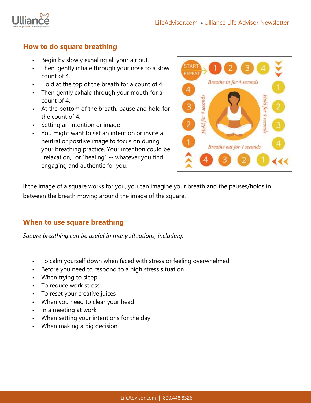

#### **How to do square breathing**

- Begin by slowly exhaling all your air out.
- Then, gently inhale through your nose to a slow count of 4.
- Hold at the top of the breath for a count of 4.
- Then gently exhale through your mouth for a count of 4.
- At the bottom of the breath, pause and hold for the count of 4.
- Setting an intention or image
- You might want to set an intention or invite a neutral or positive image to focus on during your breathing practice. Your intention could be "relaxation," or "healing" -- whatever you find engaging and authentic for you.



If the image of a square works for you, you can imagine your breath and the pauses/holds in between the breath moving around the image of the square.

#### **When to use square breathing**

*Square breathing can be useful in many situations, including:*

- To calm yourself down when faced with stress or feeling overwhelmed
- Before you need to respond to a high stress situation
- When trying to sleep
- To reduce work stress
- To reset your creative juices
- When you need to clear your head
- In a meeting at work
- When setting your intentions for the day
- When making a big decision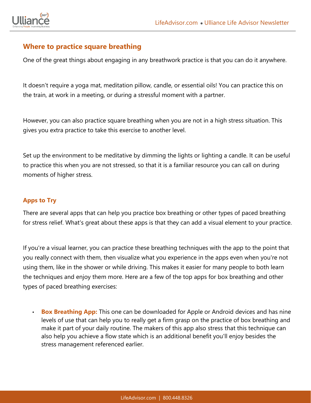

#### **Where to practice square breathing**

One of the great things about engaging in any breathwork practice is that you can do it anywhere.

It doesn't require a yoga mat, meditation pillow, candle, or essential oils! You can practice this on the train, at work in a meeting, or during a stressful moment with a partner.

However, you can also practice square breathing when you are not in a high stress situation. This gives you extra practice to take this exercise to another level.

Set up the environment to be meditative by dimming the lights or lighting a candle. It can be useful to practice this when you are not stressed, so that it is a familiar resource you can call on during moments of higher stress.

#### **Apps to Try**

There are several apps that can help you practice box breathing or other types of paced breathing for stress relief. What's great about these apps is that they can add a visual element to your practice.

If you're a visual learner, you can practice these breathing techniques with the app to the point that you really connect with them, then visualize what you experience in the apps even when you're not using them, like in the shower or while driving. This makes it easier for many people to both learn the techniques and enjoy them more. Here are a few of the top apps for box breathing and other types of paced breathing exercises:

**Box Breathing App:** This one can be downloaded for Apple or Android devices and has nine levels of use that can help you to really get a firm grasp on the practice of box breathing and make it part of your daily routine. The makers of this app also stress that this technique can also help you achieve a flow state which is an additional benefit you'll enjoy besides the stress management referenced earlier.